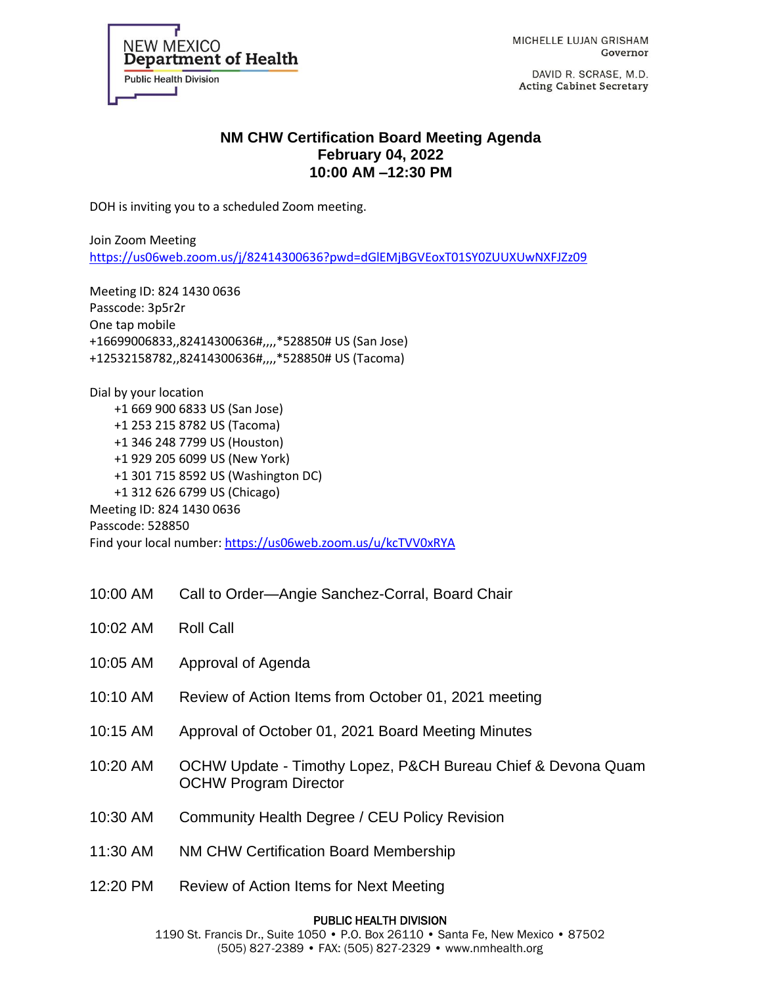

MICHELLE LUJAN GRISHAM Governor

DAVID R. SCRASE, M.D. **Acting Cabinet Secretary** 

## **NM CHW Certification Board Meeting Agenda February 04, 2022 10:00 AM –12:30 PM**

DOH is inviting you to a scheduled Zoom meeting.

Join Zoom Meeting <https://us06web.zoom.us/j/82414300636?pwd=dGlEMjBGVEoxT01SY0ZUUXUwNXFJZz09>

Meeting ID: 824 1430 0636 Passcode: 3p5r2r One tap mobile +16699006833,,82414300636#,,,,\*528850# US (San Jose) +12532158782,,82414300636#,,,,\*528850# US (Tacoma)

Dial by your location +1 669 900 6833 US (San Jose) +1 253 215 8782 US (Tacoma) +1 346 248 7799 US (Houston) +1 929 205 6099 US (New York) +1 301 715 8592 US (Washington DC) +1 312 626 6799 US (Chicago) Meeting ID: 824 1430 0636 Passcode: 528850 Find your local number[: https://us06web.zoom.us/u/kcTVV0xRYA](https://us06web.zoom.us/u/kcTVV0xRYA)

10:00 AM Call to Order—Angie Sanchez-Corral, Board Chair

| 10:02 AM | <b>Roll Call</b>                                                                             |
|----------|----------------------------------------------------------------------------------------------|
| 10:05 AM | Approval of Agenda                                                                           |
| 10:10 AM | Review of Action Items from October 01, 2021 meeting                                         |
| 10:15 AM | Approval of October 01, 2021 Board Meeting Minutes                                           |
| 10:20 AM | OCHW Update - Timothy Lopez, P&CH Bureau Chief & Devona Quam<br><b>OCHW Program Director</b> |
| 10:30 AM | <b>Community Health Degree / CEU Policy Revision</b>                                         |
| 11:30 AM | NM CHW Certification Board Membership                                                        |
| 12:20 PM | Review of Action Items for Next Meeting                                                      |

## PUBLIC HEALTH DIVISION